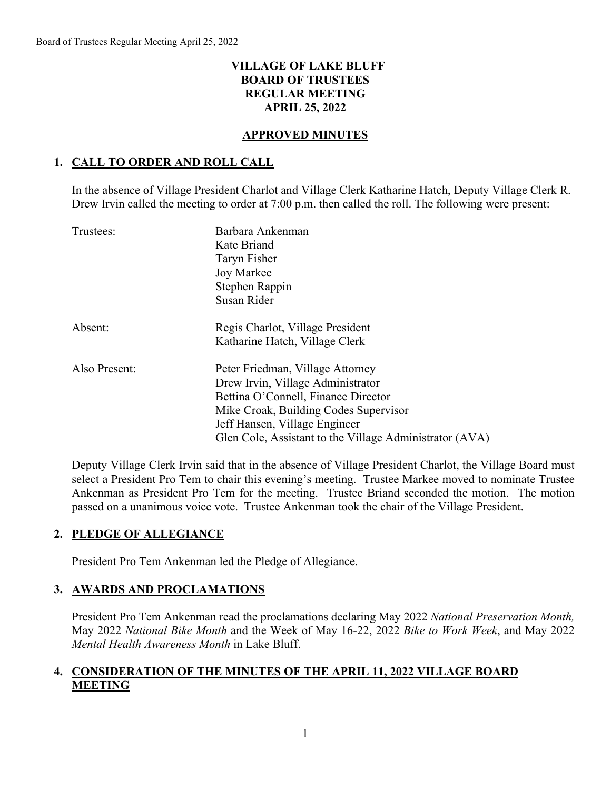## **VILLAGE OF LAKE BLUFF BOARD OF TRUSTEES REGULAR MEETING APRIL 25, 2022**

#### **APPROVED MINUTES**

## **1. CALL TO ORDER AND ROLL CALL**

In the absence of Village President Charlot and Village Clerk Katharine Hatch, Deputy Village Clerk R. Drew Irvin called the meeting to order at 7:00 p.m. then called the roll. The following were present:

| Trustees:     | Barbara Ankenman<br>Kate Briand<br>Taryn Fisher<br>Joy Markee<br>Stephen Rappin<br>Susan Rider                                                                                                                                                    |
|---------------|---------------------------------------------------------------------------------------------------------------------------------------------------------------------------------------------------------------------------------------------------|
| Absent:       | Regis Charlot, Village President<br>Katharine Hatch, Village Clerk                                                                                                                                                                                |
| Also Present: | Peter Friedman, Village Attorney<br>Drew Irvin, Village Administrator<br>Bettina O'Connell, Finance Director<br>Mike Croak, Building Codes Supervisor<br>Jeff Hansen, Village Engineer<br>Glen Cole, Assistant to the Village Administrator (AVA) |

Deputy Village Clerk Irvin said that in the absence of Village President Charlot, the Village Board must select a President Pro Tem to chair this evening's meeting. Trustee Markee moved to nominate Trustee Ankenman as President Pro Tem for the meeting. Trustee Briand seconded the motion. The motion passed on a unanimous voice vote. Trustee Ankenman took the chair of the Village President.

## **2. PLEDGE OF ALLEGIANCE**

President Pro Tem Ankenman led the Pledge of Allegiance.

## **3. AWARDS AND PROCLAMATIONS**

President Pro Tem Ankenman read the proclamations declaring May 2022 *National Preservation Month,* May 2022 *National Bike Month* and the Week of May 16-22, 2022 *Bike to Work Week*, and May 2022 *Mental Health Awareness Month* in Lake Bluff.

# **4. CONSIDERATION OF THE MINUTES OF THE APRIL 11, 2022 VILLAGE BOARD MEETING**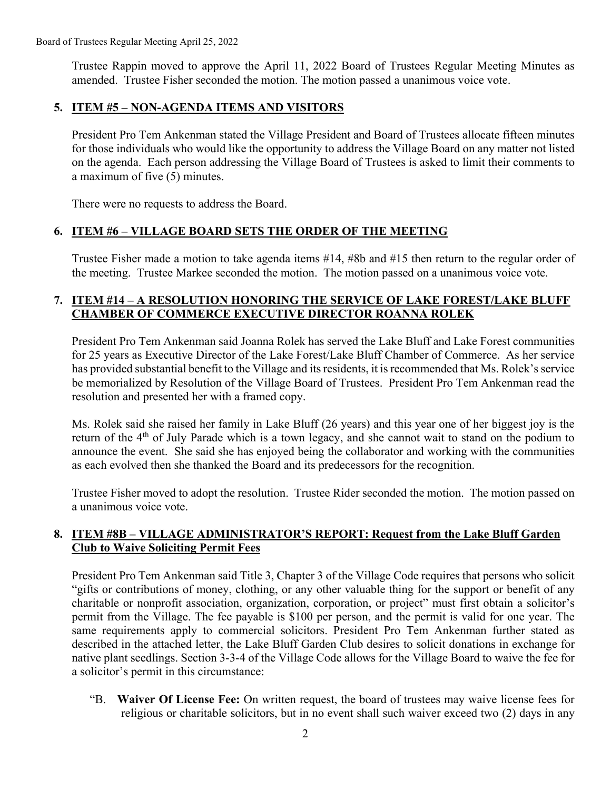Trustee Rappin moved to approve the April 11, 2022 Board of Trustees Regular Meeting Minutes as amended. Trustee Fisher seconded the motion. The motion passed a unanimous voice vote.

## **5. ITEM #5 – NON-AGENDA ITEMS AND VISITORS**

President Pro Tem Ankenman stated the Village President and Board of Trustees allocate fifteen minutes for those individuals who would like the opportunity to address the Village Board on any matter not listed on the agenda. Each person addressing the Village Board of Trustees is asked to limit their comments to a maximum of five (5) minutes.

There were no requests to address the Board.

## **6. ITEM #6 – VILLAGE BOARD SETS THE ORDER OF THE MEETING**

Trustee Fisher made a motion to take agenda items #14, #8b and #15 then return to the regular order of the meeting. Trustee Markee seconded the motion. The motion passed on a unanimous voice vote.

# **7. ITEM #14 – A RESOLUTION HONORING THE SERVICE OF LAKE FOREST/LAKE BLUFF CHAMBER OF COMMERCE EXECUTIVE DIRECTOR ROANNA ROLEK**

President Pro Tem Ankenman said Joanna Rolek has served the Lake Bluff and Lake Forest communities for 25 years as Executive Director of the Lake Forest/Lake Bluff Chamber of Commerce. As her service has provided substantial benefit to the Village and its residents, it is recommended that Ms. Rolek's service be memorialized by Resolution of the Village Board of Trustees. President Pro Tem Ankenman read the resolution and presented her with a framed copy.

Ms. Rolek said she raised her family in Lake Bluff (26 years) and this year one of her biggest joy is the return of the 4<sup>th</sup> of July Parade which is a town legacy, and she cannot wait to stand on the podium to announce the event. She said she has enjoyed being the collaborator and working with the communities as each evolved then she thanked the Board and its predecessors for the recognition.

Trustee Fisher moved to adopt the resolution. Trustee Rider seconded the motion. The motion passed on a unanimous voice vote.

# **8. ITEM #8B – VILLAGE ADMINISTRATOR'S REPORT: Request from the Lake Bluff Garden Club to Waive Soliciting Permit Fees**

President Pro Tem Ankenman said Title 3, Chapter 3 of the Village Code requires that persons who solicit "gifts or contributions of money, clothing, or any other valuable thing for the support or benefit of any charitable or nonprofit association, organization, corporation, or project" must first obtain a solicitor's permit from the Village. The fee payable is \$100 per person, and the permit is valid for one year. The same requirements apply to commercial solicitors. President Pro Tem Ankenman further stated as described in the attached letter, the Lake Bluff Garden Club desires to solicit donations in exchange for native plant seedlings. Section 3-3-4 of the Village Code allows for the Village Board to waive the fee for a solicitor's permit in this circumstance:

"B. **Waiver Of License Fee:** On written request, the board of trustees may waive license fees for religious or charitable solicitors, but in no event shall such waiver exceed two (2) days in any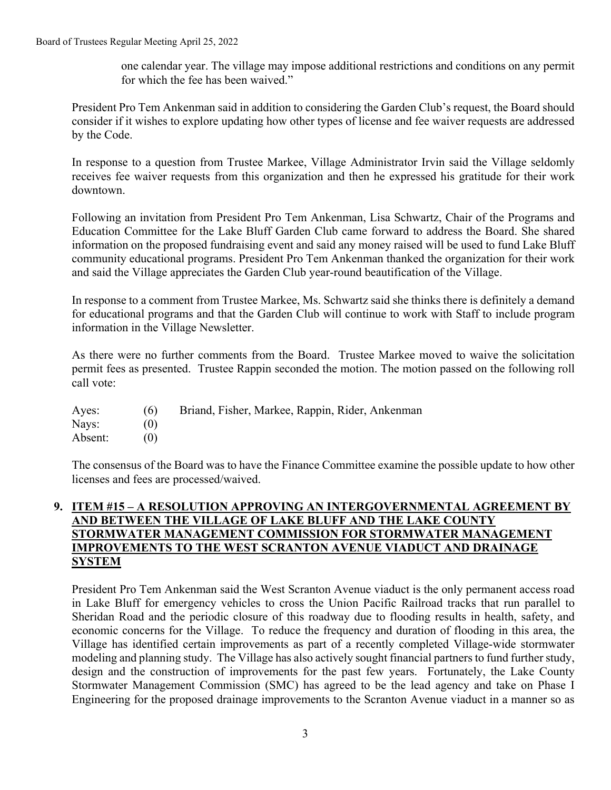#### Board of Trustees Regular Meeting April 25, 2022

one calendar year. The village may impose additional restrictions and conditions on any permit for which the fee has been waived."

President Pro Tem Ankenman said in addition to considering the Garden Club's request, the Board should consider if it wishes to explore updating how other types of license and fee waiver requests are addressed by the Code.

In response to a question from Trustee Markee, Village Administrator Irvin said the Village seldomly receives fee waiver requests from this organization and then he expressed his gratitude for their work downtown.

Following an invitation from President Pro Tem Ankenman, Lisa Schwartz, Chair of the Programs and Education Committee for the Lake Bluff Garden Club came forward to address the Board. She shared information on the proposed fundraising event and said any money raised will be used to fund Lake Bluff community educational programs. President Pro Tem Ankenman thanked the organization for their work and said the Village appreciates the Garden Club year-round beautification of the Village.

In response to a comment from Trustee Markee, Ms. Schwartz said she thinks there is definitely a demand for educational programs and that the Garden Club will continue to work with Staff to include program information in the Village Newsletter.

As there were no further comments from the Board. Trustee Markee moved to waive the solicitation permit fees as presented. Trustee Rappin seconded the motion. The motion passed on the following roll call vote:

Ayes: (6) Briand, Fisher, Markee, Rappin, Rider, Ankenman Nays: (0)

Absent: (0)

The consensus of the Board was to have the Finance Committee examine the possible update to how other licenses and fees are processed/waived.

#### **9. ITEM #15 – A RESOLUTION APPROVING AN INTERGOVERNMENTAL AGREEMENT BY AND BETWEEN THE VILLAGE OF LAKE BLUFF AND THE LAKE COUNTY STORMWATER MANAGEMENT COMMISSION FOR STORMWATER MANAGEMENT IMPROVEMENTS TO THE WEST SCRANTON AVENUE VIADUCT AND DRAINAGE SYSTEM**

President Pro Tem Ankenman said the West Scranton Avenue viaduct is the only permanent access road in Lake Bluff for emergency vehicles to cross the Union Pacific Railroad tracks that run parallel to Sheridan Road and the periodic closure of this roadway due to flooding results in health, safety, and economic concerns for the Village. To reduce the frequency and duration of flooding in this area, the Village has identified certain improvements as part of a recently completed Village-wide stormwater modeling and planning study. The Village has also actively sought financial partners to fund further study, design and the construction of improvements for the past few years. Fortunately, the Lake County Stormwater Management Commission (SMC) has agreed to be the lead agency and take on Phase I Engineering for the proposed drainage improvements to the Scranton Avenue viaduct in a manner so as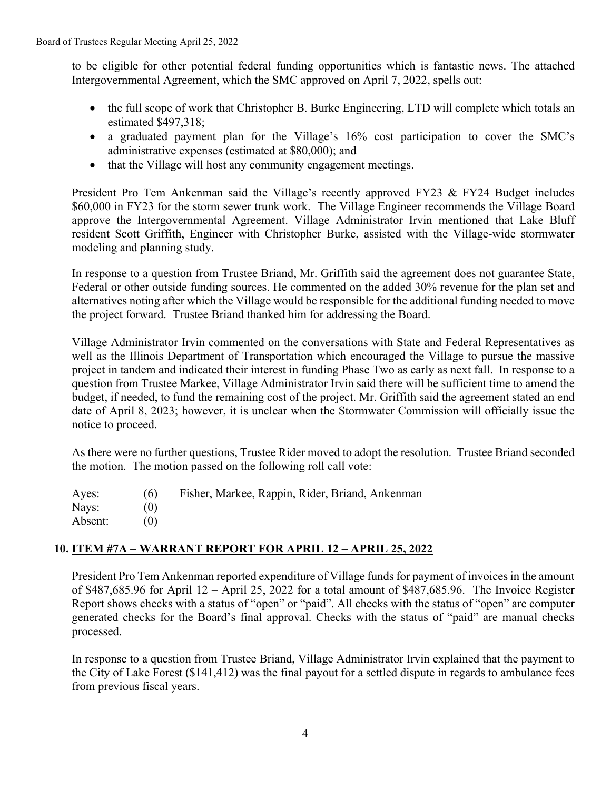to be eligible for other potential federal funding opportunities which is fantastic news. The attached Intergovernmental Agreement, which the SMC approved on April 7, 2022, spells out:

- the full scope of work that Christopher B. Burke Engineering, LTD will complete which totals an estimated \$497,318;
- a graduated payment plan for the Village's 16% cost participation to cover the SMC's administrative expenses (estimated at \$80,000); and
- that the Village will host any community engagement meetings.

President Pro Tem Ankenman said the Village's recently approved FY23 & FY24 Budget includes \$60,000 in FY23 for the storm sewer trunk work. The Village Engineer recommends the Village Board approve the Intergovernmental Agreement. Village Administrator Irvin mentioned that Lake Bluff resident Scott Griffith, Engineer with Christopher Burke, assisted with the Village-wide stormwater modeling and planning study.

In response to a question from Trustee Briand, Mr. Griffith said the agreement does not guarantee State, Federal or other outside funding sources. He commented on the added 30% revenue for the plan set and alternatives noting after which the Village would be responsible for the additional funding needed to move the project forward. Trustee Briand thanked him for addressing the Board.

Village Administrator Irvin commented on the conversations with State and Federal Representatives as well as the Illinois Department of Transportation which encouraged the Village to pursue the massive project in tandem and indicated their interest in funding Phase Two as early as next fall. In response to a question from Trustee Markee, Village Administrator Irvin said there will be sufficient time to amend the budget, if needed, to fund the remaining cost of the project. Mr. Griffith said the agreement stated an end date of April 8, 2023; however, it is unclear when the Stormwater Commission will officially issue the notice to proceed.

As there were no further questions, Trustee Rider moved to adopt the resolution. Trustee Briand seconded the motion. The motion passed on the following roll call vote:

| Ayes:   | (6) | Fisher, Markee, Rappin, Rider, Briand, Ankenman |
|---------|-----|-------------------------------------------------|
| Nays:   | (0) |                                                 |
| Absent: |     |                                                 |

# **10. ITEM #7A – WARRANT REPORT FOR APRIL 12 – APRIL 25, 2022**

President Pro Tem Ankenman reported expenditure of Village funds for payment of invoices in the amount of \$487,685.96 for April 12 – April 25, 2022 for a total amount of \$487,685.96. The Invoice Register Report shows checks with a status of "open" or "paid". All checks with the status of "open" are computer generated checks for the Board's final approval. Checks with the status of "paid" are manual checks processed.

In response to a question from Trustee Briand, Village Administrator Irvin explained that the payment to the City of Lake Forest (\$141,412) was the final payout for a settled dispute in regards to ambulance fees from previous fiscal years.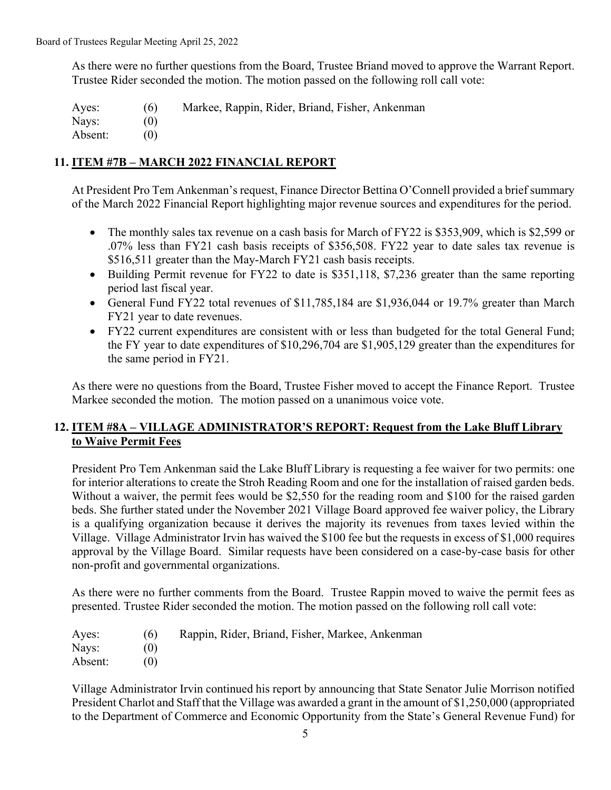As there were no further questions from the Board, Trustee Briand moved to approve the Warrant Report. Trustee Rider seconded the motion. The motion passed on the following roll call vote:

Ayes: (6) Markee, Rappin, Rider, Briand, Fisher, Ankenman Nays: (0) Absent: (0)

## **11. ITEM #7B – MARCH 2022 FINANCIAL REPORT**

At President Pro Tem Ankenman's request, Finance Director Bettina O'Connell provided a brief summary of the March 2022 Financial Report highlighting major revenue sources and expenditures for the period.

- The monthly sales tax revenue on a cash basis for March of FY22 is \$353,909, which is \$2,599 or .07% less than FY21 cash basis receipts of \$356,508. FY22 year to date sales tax revenue is \$516,511 greater than the May-March FY21 cash basis receipts.
- Building Permit revenue for FY22 to date is \$351,118, \$7,236 greater than the same reporting period last fiscal year.
- General Fund FY22 total revenues of \$11,785,184 are \$1,936,044 or 19.7% greater than March FY21 year to date revenues.
- FY22 current expenditures are consistent with or less than budgeted for the total General Fund; the FY year to date expenditures of \$10,296,704 are \$1,905,129 greater than the expenditures for the same period in FY21.

As there were no questions from the Board, Trustee Fisher moved to accept the Finance Report. Trustee Markee seconded the motion. The motion passed on a unanimous voice vote.

## **12. ITEM #8A – VILLAGE ADMINISTRATOR'S REPORT: Request from the Lake Bluff Library to Waive Permit Fees**

President Pro Tem Ankenman said the Lake Bluff Library is requesting a fee waiver for two permits: one for interior alterations to create the Stroh Reading Room and one for the installation of raised garden beds. Without a waiver, the permit fees would be \$2,550 for the reading room and \$100 for the raised garden beds. She further stated under the November 2021 Village Board approved fee waiver policy, the Library is a qualifying organization because it derives the majority its revenues from taxes levied within the Village. Village Administrator Irvin has waived the \$100 fee but the requests in excess of \$1,000 requires approval by the Village Board. Similar requests have been considered on a case-by-case basis for other non-profit and governmental organizations.

As there were no further comments from the Board. Trustee Rappin moved to waive the permit fees as presented. Trustee Rider seconded the motion. The motion passed on the following roll call vote:

| Ayes:   | (6) | Rappin, Rider, Briand, Fisher, Markee, Ankenman |
|---------|-----|-------------------------------------------------|
| Nays:   |     |                                                 |
| Absent: |     |                                                 |

Village Administrator Irvin continued his report by announcing that State Senator Julie Morrison notified President Charlot and Staff that the Village was awarded a grant in the amount of \$1,250,000 (appropriated to the Department of Commerce and Economic Opportunity from the State's General Revenue Fund) for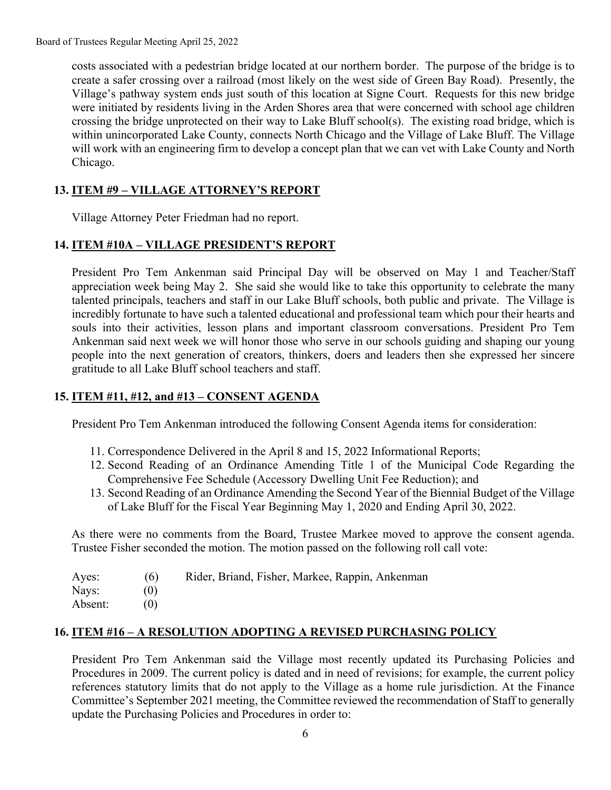costs associated with a pedestrian bridge located at our northern border. The purpose of the bridge is to create a safer crossing over a railroad (most likely on the west side of Green Bay Road). Presently, the Village's pathway system ends just south of this location at Signe Court. Requests for this new bridge were initiated by residents living in the Arden Shores area that were concerned with school age children crossing the bridge unprotected on their way to Lake Bluff school(s). The existing road bridge, which is within unincorporated Lake County, connects North Chicago and the Village of Lake Bluff. The Village will work with an engineering firm to develop a concept plan that we can vet with Lake County and North Chicago.

# **13. ITEM #9 – VILLAGE ATTORNEY'S REPORT**

Village Attorney Peter Friedman had no report.

## **14. ITEM #10A – VILLAGE PRESIDENT'S REPORT**

President Pro Tem Ankenman said Principal Day will be observed on May 1 and Teacher/Staff appreciation week being May 2. She said she would like to take this opportunity to celebrate the many talented principals, teachers and staff in our Lake Bluff schools, both public and private. The Village is incredibly fortunate to have such a talented educational and professional team which pour their hearts and souls into their activities, lesson plans and important classroom conversations. President Pro Tem Ankenman said next week we will honor those who serve in our schools guiding and shaping our young people into the next generation of creators, thinkers, doers and leaders then she expressed her sincere gratitude to all Lake Bluff school teachers and staff.

#### **15. ITEM #11, #12, and #13 – CONSENT AGENDA**

President Pro Tem Ankenman introduced the following Consent Agenda items for consideration:

- 11. Correspondence Delivered in the April 8 and 15, 2022 Informational Reports;
- 12. Second Reading of an Ordinance Amending Title 1 of the Municipal Code Regarding the Comprehensive Fee Schedule (Accessory Dwelling Unit Fee Reduction); and
- 13. Second Reading of an Ordinance Amending the Second Year of the Biennial Budget of the Village of Lake Bluff for the Fiscal Year Beginning May 1, 2020 and Ending April 30, 2022.

As there were no comments from the Board, Trustee Markee moved to approve the consent agenda. Trustee Fisher seconded the motion. The motion passed on the following roll call vote:

Ayes: (6) Rider, Briand, Fisher, Markee, Rappin, Ankenman

Nays: (0) Absent: (0)

## **16. ITEM #16 – A RESOLUTION ADOPTING A REVISED PURCHASING POLICY**

President Pro Tem Ankenman said the Village most recently updated its Purchasing Policies and Procedures in 2009. The current policy is dated and in need of revisions; for example, the current policy references statutory limits that do not apply to the Village as a home rule jurisdiction. At the Finance Committee's September 2021 meeting, the Committee reviewed the recommendation of Staff to generally update the Purchasing Policies and Procedures in order to: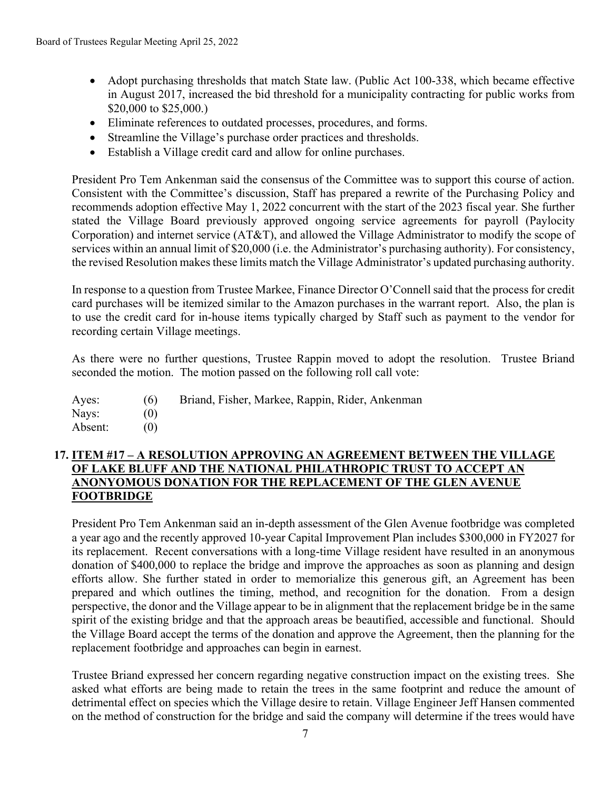- Adopt purchasing thresholds that match State law. (Public Act 100-338, which became effective in August 2017, increased the bid threshold for a municipality contracting for public works from \$20,000 to \$25,000.)
- Eliminate references to outdated processes, procedures, and forms.
- Streamline the Village's purchase order practices and thresholds.
- Establish a Village credit card and allow for online purchases.

President Pro Tem Ankenman said the consensus of the Committee was to support this course of action. Consistent with the Committee's discussion, Staff has prepared a rewrite of the Purchasing Policy and recommends adoption effective May 1, 2022 concurrent with the start of the 2023 fiscal year. She further stated the Village Board previously approved ongoing service agreements for payroll (Paylocity Corporation) and internet service (AT&T), and allowed the Village Administrator to modify the scope of services within an annual limit of \$20,000 (i.e. the Administrator's purchasing authority). For consistency, the revised Resolution makes these limits match the Village Administrator's updated purchasing authority.

In response to a question from Trustee Markee, Finance Director O'Connell said that the process for credit card purchases will be itemized similar to the Amazon purchases in the warrant report. Also, the plan is to use the credit card for in-house items typically charged by Staff such as payment to the vendor for recording certain Village meetings.

As there were no further questions, Trustee Rappin moved to adopt the resolution. Trustee Briand seconded the motion. The motion passed on the following roll call vote:

- Ayes: (6) Briand, Fisher, Markee, Rappin, Rider, Ankenman
- Nays: (0) Absent: (0)

# **17. ITEM #17 – A RESOLUTION APPROVING AN AGREEMENT BETWEEN THE VILLAGE OF LAKE BLUFF AND THE NATIONAL PHILATHROPIC TRUST TO ACCEPT AN ANONYOMOUS DONATION FOR THE REPLACEMENT OF THE GLEN AVENUE FOOTBRIDGE**

President Pro Tem Ankenman said an in-depth assessment of the Glen Avenue footbridge was completed a year ago and the recently approved 10-year Capital Improvement Plan includes \$300,000 in FY2027 for its replacement. Recent conversations with a long-time Village resident have resulted in an anonymous donation of \$400,000 to replace the bridge and improve the approaches as soon as planning and design efforts allow. She further stated in order to memorialize this generous gift, an Agreement has been prepared and which outlines the timing, method, and recognition for the donation. From a design perspective, the donor and the Village appear to be in alignment that the replacement bridge be in the same spirit of the existing bridge and that the approach areas be beautified, accessible and functional. Should the Village Board accept the terms of the donation and approve the Agreement, then the planning for the replacement footbridge and approaches can begin in earnest.

Trustee Briand expressed her concern regarding negative construction impact on the existing trees. She asked what efforts are being made to retain the trees in the same footprint and reduce the amount of detrimental effect on species which the Village desire to retain. Village Engineer Jeff Hansen commented on the method of construction for the bridge and said the company will determine if the trees would have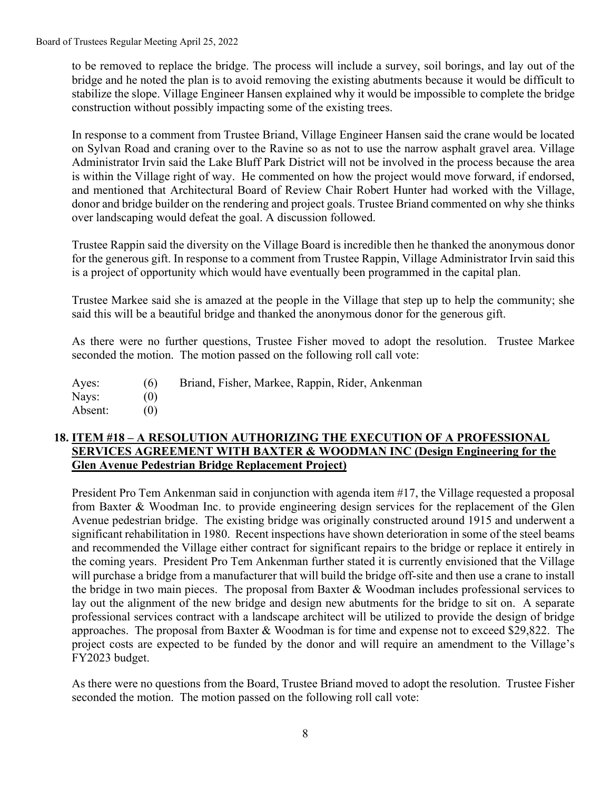Board of Trustees Regular Meeting April 25, 2022

to be removed to replace the bridge. The process will include a survey, soil borings, and lay out of the bridge and he noted the plan is to avoid removing the existing abutments because it would be difficult to stabilize the slope. Village Engineer Hansen explained why it would be impossible to complete the bridge construction without possibly impacting some of the existing trees.

In response to a comment from Trustee Briand, Village Engineer Hansen said the crane would be located on Sylvan Road and craning over to the Ravine so as not to use the narrow asphalt gravel area. Village Administrator Irvin said the Lake Bluff Park District will not be involved in the process because the area is within the Village right of way. He commented on how the project would move forward, if endorsed, and mentioned that Architectural Board of Review Chair Robert Hunter had worked with the Village, donor and bridge builder on the rendering and project goals. Trustee Briand commented on why she thinks over landscaping would defeat the goal. A discussion followed.

Trustee Rappin said the diversity on the Village Board is incredible then he thanked the anonymous donor for the generous gift. In response to a comment from Trustee Rappin, Village Administrator Irvin said this is a project of opportunity which would have eventually been programmed in the capital plan.

Trustee Markee said she is amazed at the people in the Village that step up to help the community; she said this will be a beautiful bridge and thanked the anonymous donor for the generous gift.

As there were no further questions, Trustee Fisher moved to adopt the resolution. Trustee Markee seconded the motion. The motion passed on the following roll call vote:

| Ayes:   | (6) | Briand, Fisher, Markee, Rappin, Rider, Ankenman |
|---------|-----|-------------------------------------------------|
| Nays:   |     |                                                 |
| Absent: |     |                                                 |

#### **18. ITEM #18 – A RESOLUTION AUTHORIZING THE EXECUTION OF A PROFESSIONAL SERVICES AGREEMENT WITH BAXTER & WOODMAN INC (Design Engineering for the Glen Avenue Pedestrian Bridge Replacement Project)**

President Pro Tem Ankenman said in conjunction with agenda item #17, the Village requested a proposal from Baxter & Woodman Inc. to provide engineering design services for the replacement of the Glen Avenue pedestrian bridge. The existing bridge was originally constructed around 1915 and underwent a significant rehabilitation in 1980. Recent inspections have shown deterioration in some of the steel beams and recommended the Village either contract for significant repairs to the bridge or replace it entirely in the coming years. President Pro Tem Ankenman further stated it is currently envisioned that the Village will purchase a bridge from a manufacturer that will build the bridge off-site and then use a crane to install the bridge in two main pieces. The proposal from Baxter & Woodman includes professional services to lay out the alignment of the new bridge and design new abutments for the bridge to sit on. A separate professional services contract with a landscape architect will be utilized to provide the design of bridge approaches. The proposal from Baxter & Woodman is for time and expense not to exceed \$29,822. The project costs are expected to be funded by the donor and will require an amendment to the Village's FY2023 budget.

As there were no questions from the Board, Trustee Briand moved to adopt the resolution. Trustee Fisher seconded the motion. The motion passed on the following roll call vote: